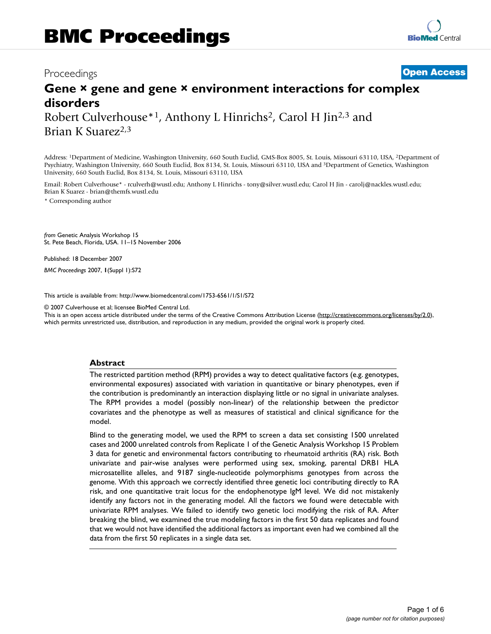## Proceedings **[Open Access](http://www.biomedcentral.com/info/about/charter/)**

# **Gene × gene and gene × environment interactions for complex disorders** Robert Culverhouse<sup>\*1</sup>, Anthony L Hinrichs<sup>2</sup>, Carol H Jin<sup>2,3</sup> and

Brian K Suarez<sup>2,3</sup>

Address: 1Department of Medicine, Washington University, 660 South Euclid, GMS-Box 8005, St. Louis, Missouri 63110, USA, 2Department of Psychiatry, Washington University, 660 South Euclid, Box 8134, St. Louis, Missouri 63110, USA and 3Department of Genetics, Washington University, 660 South Euclid, Box 8134, St. Louis, Missouri 63110, USA

Email: Robert Culverhouse\* - rculverh@wustl.edu; Anthony L Hinrichs - tony@silver.wustl.edu; Carol H Jin - carolj@nackles.wustl.edu; Brian K Suarez - brian@themfs.wustl.edu

\* Corresponding author

*from* Genetic Analysis Workshop 15 St. Pete Beach, Florida, USA. 11–15 November 2006

Published: 18 December 2007

*BMC Proceedings* 2007, **1**(Suppl 1):S72

[This article is available from: http://www.biomedcentral.com/1753-6561/1/S1/S72](http://www.biomedcentral.com/1753-6561/1/S1/S72)

© 2007 Culverhouse et al; licensee BioMed Central Ltd.

This is an open access article distributed under the terms of the Creative Commons Attribution License [\(http://creativecommons.org/licenses/by/2.0\)](http://creativecommons.org/licenses/by/2.0), which permits unrestricted use, distribution, and reproduction in any medium, provided the original work is properly cited.

#### **Abstract**

The restricted partition method (RPM) provides a way to detect qualitative factors (e.g. genotypes, environmental exposures) associated with variation in quantitative or binary phenotypes, even if the contribution is predominantly an interaction displaying little or no signal in univariate analyses. The RPM provides a model (possibly non-linear) of the relationship between the predictor covariates and the phenotype as well as measures of statistical and clinical significance for the model.

Blind to the generating model, we used the RPM to screen a data set consisting 1500 unrelated cases and 2000 unrelated controls from Replicate 1 of the Genetic Analysis Workshop 15 Problem 3 data for genetic and environmental factors contributing to rheumatoid arthritis (RA) risk. Both univariate and pair-wise analyses were performed using sex, smoking, parental DRB1 HLA microsatellite alleles, and 9187 single-nucleotide polymorphisms genotypes from across the genome. With this approach we correctly identified three genetic loci contributing directly to RA risk, and one quantitative trait locus for the endophenotype IgM level. We did not mistakenly identify any factors not in the generating model. All the factors we found were detectable with univariate RPM analyses. We failed to identify two genetic loci modifying the risk of RA. After breaking the blind, we examined the true modeling factors in the first 50 data replicates and found that we would not have identified the additional factors as important even had we combined all the data from the first 50 replicates in a single data set.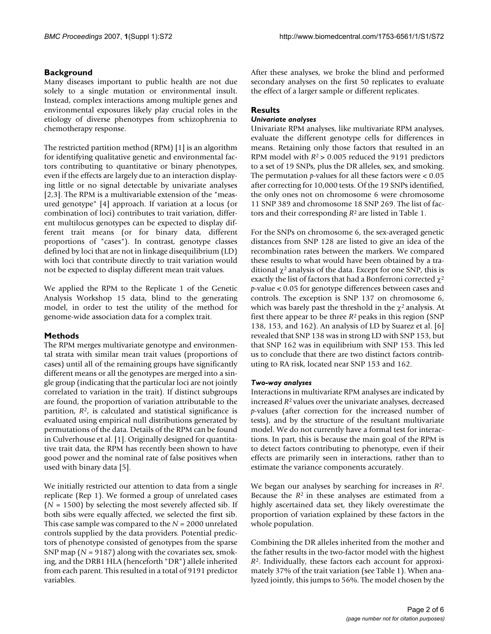#### **Background**

Many diseases important to public health are not due solely to a single mutation or environmental insult. Instead, complex interactions among multiple genes and environmental exposures likely play crucial roles in the etiology of diverse phenotypes from schizophrenia to chemotherapy response.

The restricted partition method (RPM) [1] is an algorithm for identifying qualitative genetic and environmental factors contributing to quantitative or binary phenotypes, even if the effects are largely due to an interaction displaying little or no signal detectable by univariate analyses [2,3]. The RPM is a multivariable extension of the "measured genotype" [4] approach. If variation at a locus (or combination of loci) contributes to trait variation, different multilocus genotypes can be expected to display different trait means (or for binary data, different proportions of "cases"). In contrast, genotype classes defined by loci that are not in linkage disequilibrium (LD) with loci that contribute directly to trait variation would not be expected to display different mean trait values.

We applied the RPM to the Replicate 1 of the Genetic Analysis Workshop 15 data, blind to the generating model, in order to test the utility of the method for genome-wide association data for a complex trait.

## **Methods**

The RPM merges multivariate genotype and environmental strata with similar mean trait values (proportions of cases) until all of the remaining groups have significantly different means or all the genotypes are merged into a single group (indicating that the particular loci are not jointly correlated to variation in the trait). If distinct subgroups are found, the proportion of variation attributable to the partition, *R*2, is calculated and statistical significance is evaluated using empirical null distributions generated by permutations of the data. Details of the RPM can be found in Culverhouse et al. [1]. Originally designed for quantitative trait data, the RPM has recently been shown to have good power and the nominal rate of false positives when used with binary data [5].

We initially restricted our attention to data from a single replicate (Rep 1). We formed a group of unrelated cases  $(N = 1500)$  by selecting the most severely affected sib. If both sibs were equally affected, we selected the first sib. This case sample was compared to the *N* = 2000 unrelated controls supplied by the data providers. Potential predictors of phenotype consisted of genotypes from the sparse SNP map ( $N = 9187$ ) along with the covariates sex, smoking, and the DRB1 HLA (henceforth "DR") allele inherited from each parent. This resulted in a total of 9191 predictor variables.

After these analyses, we broke the blind and performed secondary analyses on the first 50 replicates to evaluate the effect of a larger sample or different replicates.

## **Results**

#### *Univariate analyses*

Univariate RPM analyses, like multivariate RPM analyses, evaluate the different genotype cells for differences in means. Retaining only those factors that resulted in an RPM model with *R*2 > 0.005 reduced the 9191 predictors to a set of 19 SNPs, plus the DR alleles, sex, and smoking. The permutation *p*-values for all these factors were < 0.05 after correcting for 10,000 tests. Of the 19 SNPs identified, the only ones not on chromosome 6 were chromosome 11 SNP 389 and chromosome 18 SNP 269. The list of factors and their corresponding *R*2 are listed in Table 1.

For the SNPs on chromosome 6, the sex-averaged genetic distances from SNP 128 are listed to give an idea of the recombination rates between the markers. We compared these results to what would have been obtained by a traditional  $χ²$  analysis of the data. Except for one SNP, this is exactly the list of factors that had a Bonferroni corrected  $\chi^2$ *p*-value < 0.05 for genotype differences between cases and controls. The exception is SNP 137 on chromosome 6, which was barely past the threshold in the  $\chi^2$  analysis. At first there appear to be three *R*2 peaks in this region (SNP 138, 153, and 162). An analysis of LD by Suarez et al. [6] revealed that SNP 138 was in strong LD with SNP 153, but that SNP 162 was in equilibrium with SNP 153. This led us to conclude that there are two distinct factors contributing to RA risk, located near SNP 153 and 162.

#### *Two-way analyses*

Interactions in multivariate RPM analyses are indicated by increased *R*2 values over the univariate analyses, decreased *p*-values (after correction for the increased number of tests), and by the structure of the resultant multivariate model. We do not currently have a formal test for interactions. In part, this is because the main goal of the RPM is to detect factors contributing to phenotype, even if their effects are primarily seen in interactions, rather than to estimate the variance components accurately.

We began our analyses by searching for increases in *R*2. Because the *R*2 in these analyses are estimated from a highly ascertained data set, they likely overestimate the proportion of variation explained by these factors in the whole population.

Combining the DR alleles inherited from the mother and the father results in the two-factor model with the highest *R*2. Individually, these factors each account for approximately 37% of the trait variation (see Table 1). When analyzed jointly, this jumps to 56%. The model chosen by the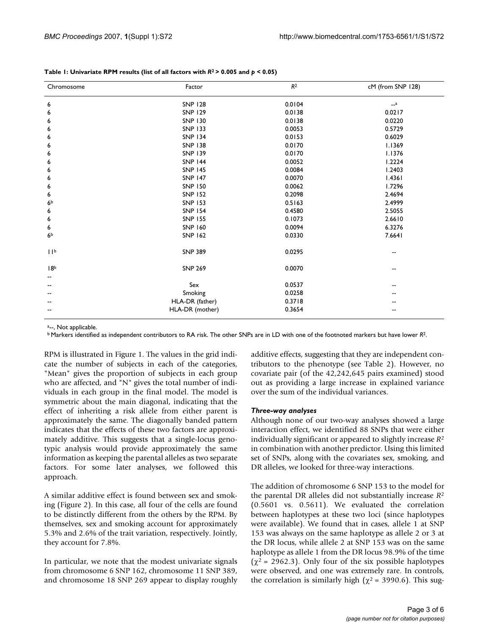| Chromosome      | Factor          | R <sup>2</sup> | cM (from SNP 128) |
|-----------------|-----------------|----------------|-------------------|
| 6               | <b>SNP 128</b>  | 0.0104         | $-a$              |
| 6               | <b>SNP 129</b>  | 0.0138         | 0.0217            |
| 6               | <b>SNP 130</b>  | 0.0138         | 0.0220            |
| 6               | <b>SNP 133</b>  | 0.0053         | 0.5729            |
| 6               | <b>SNP 134</b>  | 0.0153         | 0.6029            |
| 6               | <b>SNP 138</b>  | 0.0170         | 1.1369            |
| 6               | <b>SNP 139</b>  | 0.0170         | 1.1376            |
| 6               | <b>SNP 144</b>  | 0.0052         | 1.2224            |
| 6               | <b>SNP 145</b>  | 0.0084         | 1.2403            |
| 6               | <b>SNP 147</b>  | 0.0070         | 1.4361            |
| 6               | <b>SNP 150</b>  | 0.0062         | 1.7296            |
| 6               | <b>SNP 152</b>  | 0.2098         | 2.4694            |
| 6 <sup>b</sup>  | <b>SNP 153</b>  | 0.5163         | 2.4999            |
| 6               | <b>SNP 154</b>  | 0.4580         | 2.5055            |
| 6               | <b>SNP 155</b>  | 0.1073         | 2.6610            |
| 6               | SNP 160         | 0.0094         | 6.3276            |
| 6 <sup>b</sup>  | <b>SNP 162</b>  | 0.0330         | 7.6641            |
| 11 <sup>b</sup> | <b>SNP 389</b>  | 0.0295         | --                |
| 18 <sup>b</sup> | <b>SNP 269</b>  | 0.0070         | --                |
|                 |                 |                |                   |
|                 | Sex             | 0.0537         | --                |
| --              | Smoking         | 0.0258         |                   |
|                 | HLA-DR (father) | 0.3718         |                   |
|                 | HLA-DR (mother) | 0.3654         |                   |
|                 |                 |                |                   |

#### **Table 1: Univariate RPM results (list of all factors with** *R***2 > 0.005 and** *p* **< 0.05)**

a<sub>--</sub>, Not applicable.

b Markers identified as independent contributors to RA risk. The other SNPs are in LD with one of the footnoted markers but have lower *R*2.

RPM is illustrated in Figure 1. The values in the grid indicate the number of subjects in each of the categories, "Mean" gives the proportion of subjects in each group who are affected, and "N" gives the total number of individuals in each group in the final model. The model is symmetric about the main diagonal, indicating that the effect of inheriting a risk allele from either parent is approximately the same. The diagonally banded pattern indicates that the effects of these two factors are approximately additive. This suggests that a single-locus genotypic analysis would provide approximately the same information as keeping the parental alleles as two separate factors. For some later analyses, we followed this approach.

A similar additive effect is found between sex and smoking (Figure 2). In this case, all four of the cells are found to be distinctly different from the others by the RPM. By themselves, sex and smoking account for approximately 5.3% and 2.6% of the trait variation, respectively. Jointly, they account for 7.8%.

In particular, we note that the modest univariate signals from chromosome 6 SNP 162, chromosome 11 SNP 389, and chromosome 18 SNP 269 appear to display roughly additive effects, suggesting that they are independent contributors to the phenotype (see Table 2). However, no covariate pair (of the 42,242,645 pairs examined) stood out as providing a large increase in explained variance over the sum of the individual variances.

#### *Three-way analyses*

Although none of our two-way analyses showed a large interaction effect, we identified 88 SNPs that were either individually significant or appeared to slightly increase *R*<sup>2</sup> in combination with another predictor. Using this limited set of SNPs, along with the covariates sex, smoking, and DR alleles, we looked for three-way interactions.

The addition of chromosome 6 SNP 153 to the model for the parental DR alleles did not substantially increase *R*<sup>2</sup> (0.5601 vs. 0.5611). We evaluated the correlation between haplotypes at these two loci (since haplotypes were available). We found that in cases, allele 1 at SNP 153 was always on the same haplotype as allele 2 or 3 at the DR locus, while allele 2 at SNP 153 was on the same haplotype as allele 1 from the DR locus 98.9% of the time ( $\chi^2$  = 2962.3). Only four of the six possible haplotypes were observed, and one was extremely rare. In controls, the correlation is similarly high ( $\chi^2$  = 3990.6). This sug-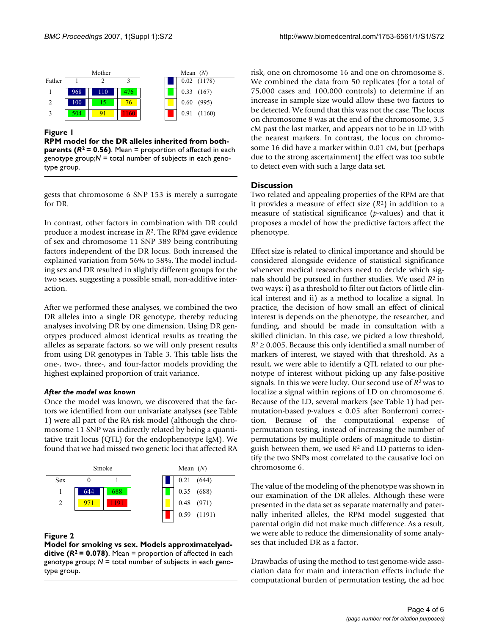

## **Figure 1**

**RPM model for the DR alleles inherited from bothparents (***R***2 = 0.56)**. Mean = proportion of affected in each genotype group;*N* = total number of subjects in each genotype group.

gests that chromosome 6 SNP 153 is merely a surrogate for DR.

In contrast, other factors in combination with DR could produce a modest increase in *R*2. The RPM gave evidence of sex and chromosome 11 SNP 389 being contributing factors independent of the DR locus. Both increased the explained variation from 56% to 58%. The model including sex and DR resulted in slightly different groups for the two sexes, suggesting a possible small, non-additive interaction.

After we performed these analyses, we combined the two DR alleles into a single DR genotype, thereby reducing analyses involving DR by one dimension. Using DR genotypes produced almost identical results as treating the alleles as separate factors, so we will only present results from using DR genotypes in Table 3. This table lists the one-, two-, three-, and four-factor models providing the highest explained proportion of trait variance.

#### *After the model was known*

Once the model was known, we discovered that the factors we identified from our univariate analyses (see Table 1) were all part of the RA risk model (although the chromosome 11 SNP was indirectly related by being a quantitative trait locus (QTL) for the endophenotype IgM). We found that we had missed two genetic loci that affected RA



#### **Figure 2**

**Model for smoking vs sex. Models approximatelyadditive (***R***2 = 0.078)**. Mean = proportion of affected in each genotype group; *N* = total number of subjects in each genotype group.

risk, one on chromosome 16 and one on chromosome 8. We combined the data from 50 replicates (for a total of 75,000 cases and 100,000 controls) to determine if an increase in sample size would allow these two factors to be detected. We found that this was not the case. The locus on chromosome 8 was at the end of the chromosome, 3.5 cM past the last marker, and appears not to be in LD with the nearest markers. In contrast, the locus on chromosome 16 did have a marker within 0.01 cM, but (perhaps due to the strong ascertainment) the effect was too subtle to detect even with such a large data set.

## **Discussion**

Two related and appealing properties of the RPM are that it provides a measure of effect size (*R*2) in addition to a measure of statistical significance (*p*-values) and that it proposes a model of how the predictive factors affect the phenotype.

Effect size is related to clinical importance and should be considered alongside evidence of statistical significance whenever medical researchers need to decide which signals should be pursued in further studies. We used *R*2 in two ways: i) as a threshold to filter out factors of little clinical interest and ii) as a method to localize a signal. In practice, the decision of how small an effect of clinical interest is depends on the phenotype, the researcher, and funding, and should be made in consultation with a skilled clinician. In this case, we picked a low threshold, *R*<sup>2</sup>≥ 0.005. Because this only identified a small number of markers of interest, we stayed with that threshold. As a result, we were able to identify a QTL related to our phenotype of interest without picking up any false-positive signals. In this we were lucky. Our second use of *R*2 was to localize a signal within regions of LD on chromosome 6. Because of the LD, several markers (see Table 1) had permutation-based *p*-values < 0.05 after Bonferroni correction. Because of the computational expense of permutation testing, instead of increasing the number of permutations by multiple orders of magnitude to distinguish between them, we used *R*2 and LD patterns to identify the two SNPs most correlated to the causative loci on chromosome 6.

The value of the modeling of the phenotype was shown in our examination of the DR alleles. Although these were presented in the data set as separate maternally and paternally inherited alleles, the RPM model suggested that parental origin did not make much difference. As a result, we were able to reduce the dimensionality of some analyses that included DR as a factor.

Drawbacks of using the method to test genome-wide association data for main and interaction effects include the computational burden of permutation testing, the ad hoc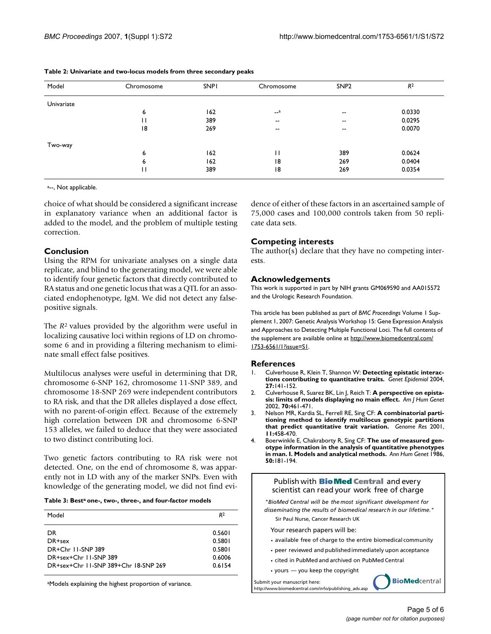| Model      | Chromosome | <b>SNPI</b> | Chromosome               | SNP <sub>2</sub>         | R <sup>2</sup> |
|------------|------------|-------------|--------------------------|--------------------------|----------------|
| Univariate |            |             |                          |                          |                |
|            | 6          | 162         | $-a$                     | $\overline{\phantom{m}}$ | 0.0330         |
|            | П          | 389         | $\overline{\phantom{a}}$ | $- -$                    | 0.0295         |
|            | 18         | 269         | $\overline{\phantom{a}}$ | $\overline{\phantom{m}}$ | 0.0070         |
| Two-way    |            |             |                          |                          |                |
|            | 6          | 162         | П                        | 389                      | 0.0624         |
|            | 6          | 162         | 18                       | 269                      | 0.0404         |
|            | П          | 389         | 18                       | 269                      | 0.0354         |

| Table 2: Univariate and two-locus models from three secondary peaks |  |  |  |  |  |
|---------------------------------------------------------------------|--|--|--|--|--|
|---------------------------------------------------------------------|--|--|--|--|--|

a<sub>--</sub>, Not applicable.

choice of what should be considered a significant increase in explanatory variance when an additional factor is added to the model, and the problem of multiple testing correction.

#### **Conclusion**

Using the RPM for univariate analyses on a single data replicate, and blind to the generating model, we were able to identify four genetic factors that directly contributed to RA status and one genetic locus that was a QTL for an associated endophenotype, IgM. We did not detect any falsepositive signals.

The *R*2 values provided by the algorithm were useful in localizing causative loci within regions of LD on chromosome 6 and in providing a filtering mechanism to eliminate small effect false positives.

Multilocus analyses were useful in determining that DR, chromosome 6-SNP 162, chromosome 11-SNP 389, and chromosome 18-SNP 269 were independent contributors to RA risk, and that the DR alleles displayed a dose effect, with no parent-of-origin effect. Because of the extremely high correlation between DR and chromosome 6-SNP 153 alleles, we failed to deduce that they were associated to two distinct contributing loci.

Two genetic factors contributing to RA risk were not detected. One, on the end of chromosome 8, was apparently not in LD with any of the marker SNPs. Even with knowledge of the generating model, we did not find evi-

#### **Table 3: Besta one-, two-, three-, and four-factor models**

| Model                                | R <sup>2</sup> |
|--------------------------------------|----------------|
| DR.                                  | 0.5601         |
| DR+sex                               | 0.5801         |
| DR+Chr 11-SNP 389                    | 0.5801         |
| DR+sex+Chr 11-SNP 389                | 0.6006         |
| DR+sex+Chr 11-SNP 389+Chr 18-SNP 269 | 0.6154         |

aModels explaining the highest proportion of variance.

dence of either of these factors in an ascertained sample of 75,000 cases and 100,000 controls taken from 50 replicate data sets.

#### **Competing interests**

The author(s) declare that they have no competing interests.

#### **Acknowledgements**

This work is supported in part by NIH grants GM069590 and AA015572 and the Urologic Research Foundation.

This article has been published as part of *BMC Proceedings* Volume 1 Supplement 1, 2007: Genetic Analysis Workshop 15: Gene Expression Analysis and Approaches to Detecting Multiple Functional Loci. The full contents of the supplement are available online at [http://www.biomedcentral.com/](http://www.biomedcentral.com/1753-6561/1?issue=S1) [1753-6561/1?issue=S1.](http://www.biomedcentral.com/1753-6561/1?issue=S1)

#### **References**

- 1. Culverhouse R, Klein T, Shannon W: **[Detecting epistatic interac](http://www.ncbi.nlm.nih.gov/entrez/query.fcgi?cmd=Retrieve&db=PubMed&dopt=Abstract&list_uids=15305330)[tions contributing to quantitative traits.](http://www.ncbi.nlm.nih.gov/entrez/query.fcgi?cmd=Retrieve&db=PubMed&dopt=Abstract&list_uids=15305330)** *Genet Epidemiol* 2004, **27:**141-152.
- 2. Culverhouse R, Suarez BK, Lin J, Reich T: **[A perspective on epista](http://www.ncbi.nlm.nih.gov/entrez/query.fcgi?cmd=Retrieve&db=PubMed&dopt=Abstract&list_uids=11791213)[sis: limits of models displaying no main effect.](http://www.ncbi.nlm.nih.gov/entrez/query.fcgi?cmd=Retrieve&db=PubMed&dopt=Abstract&list_uids=11791213)** *Am J Hum Genet* 2002, **70:**461-471.
- 3. Nelson MR, Kardia SL, Ferrell RE, Sing CF: **[A combinatorial parti](http://www.ncbi.nlm.nih.gov/entrez/query.fcgi?cmd=Retrieve&db=PubMed&dopt=Abstract&list_uids=11230170)[tioning method to identify multilocus genotypic partitions](http://www.ncbi.nlm.nih.gov/entrez/query.fcgi?cmd=Retrieve&db=PubMed&dopt=Abstract&list_uids=11230170) [that predict quantitative trait variation.](http://www.ncbi.nlm.nih.gov/entrez/query.fcgi?cmd=Retrieve&db=PubMed&dopt=Abstract&list_uids=11230170)** *Genome Res* 2001, **11:**458-470.
- 4. Boerwinkle E, Chakraborty R, Sing CF: **[The use of measured gen](http://www.ncbi.nlm.nih.gov/entrez/query.fcgi?cmd=Retrieve&db=PubMed&dopt=Abstract&list_uids=3435047)[otype information in the analysis of quantitative phenotypes](http://www.ncbi.nlm.nih.gov/entrez/query.fcgi?cmd=Retrieve&db=PubMed&dopt=Abstract&list_uids=3435047) [in man. I. Models and analytical methods.](http://www.ncbi.nlm.nih.gov/entrez/query.fcgi?cmd=Retrieve&db=PubMed&dopt=Abstract&list_uids=3435047)** *Ann Hum Genet* 1986, **50:**181-194.